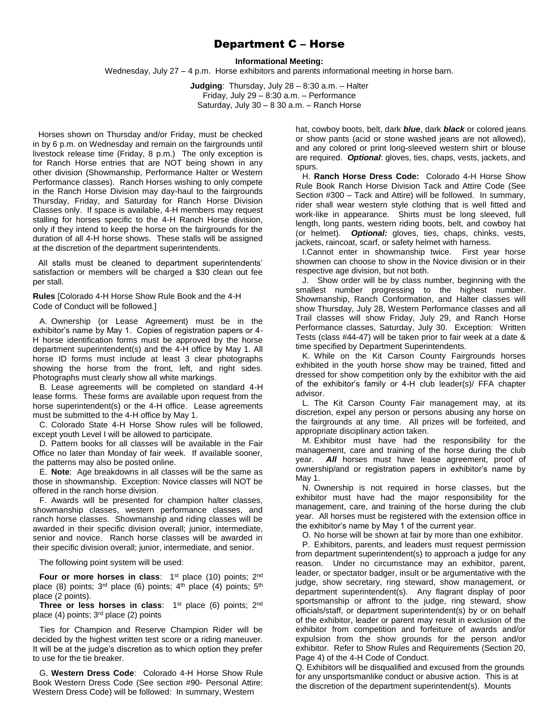# Department C – Horse

#### **Informational Meeting:**

Wednesday, July 27 – 4 p.m. Horse exhibitors and parents informational meeting in horse barn.

**Judging**: Thursday, July 28 – 8:30 a.m. – Halter Friday, July 29 – 8:30 a.m. – Performance Saturday, July 30 – 8 30 a.m. – Ranch Horse

Horses shown on Thursday and/or Friday, must be checked in by 6 p.m. on Wednesday and remain on the fairgrounds until livestock release time (Friday, 8 p.m.) The only exception is for Ranch Horse entries that are NOT being shown in any other division (Showmanship, Performance Halter or Western Performance classes). Ranch Horses wishing to only compete in the Ranch Horse Division may day-haul to the fairgrounds Thursday, Friday, and Saturday for Ranch Horse Division Classes only. If space is available, 4-H members may request stalling for horses specific to the 4-H Ranch Horse division, only if they intend to keep the horse on the fairgrounds for the duration of all 4-H horse shows. These stalls will be assigned at the discretion of the department superintendents.

All stalls must be cleaned to department superintendents' satisfaction or members will be charged a \$30 clean out fee per stall.

**Rules** [Colorado 4-H Horse Show Rule Book and the 4-H Code of Conduct will be followed.]

A. Ownership (or Lease Agreement) must be in the exhibitor's name by May 1. Copies of registration papers or 4- H horse identification forms must be approved by the horse department superintendent(s) and the 4-H office by May 1. All horse ID forms must include at least 3 clear photographs showing the horse from the front, left, and right sides. Photographs must clearly show all white markings.

B. Lease agreements will be completed on standard 4-H lease forms. These forms are available upon request from the horse superintendent(s) or the 4-H office. Lease agreements must be submitted to the 4-H office by May 1.

C. Colorado State 4-H Horse Show rules will be followed, except youth Level I will be allowed to participate.

D. Pattern books for all classes will be available in the Fair Office no later than Monday of fair week. If available sooner, the patterns may also be posted online.

E. **Note**: Age breakdowns in all classes will be the same as those in showmanship. Exception: Novice classes will NOT be offered in the ranch horse division.

F. Awards will be presented for champion halter classes, showmanship classes, western performance classes, and ranch horse classes. Showmanship and riding classes will be awarded in their specific division overall; junior, intermediate, senior and novice. Ranch horse classes will be awarded in their specific division overall; junior, intermediate, and senior.

The following point system will be used:

**Four or more horses in class**: 1<sup>st</sup> place (10) points; 2<sup>nd</sup> place (8) points;  $3<sup>rd</sup>$  place (6) points;  $4<sup>th</sup>$  place (4) points;  $5<sup>th</sup>$ place (2 points).

**Three or less horses in class**: 1<sup>st</sup> place (6) points; 2<sup>nd</sup> place  $(4)$  points;  $3<sup>rd</sup>$  place  $(2)$  points

Ties for Champion and Reserve Champion Rider will be decided by the highest written test score or a riding maneuver. It will be at the judge's discretion as to which option they prefer to use for the tie breaker.

G. **Western Dress Code**: Colorado 4-H Horse Show Rule Book Western Dress Code (See section #90- Personal Attire: Western Dress Code) will be followed: In summary, Western

hat, cowboy boots, belt, dark *blue*, dark *black* or colored jeans or show pants (acid or stone washed jeans are not allowed), and any colored or print long-sleeved western shirt or blouse are required. *Optional*: gloves, ties, chaps, vests, jackets, and spurs.

H. **Ranch Horse Dress Code:** Colorado 4-H Horse Show Rule Book Ranch Horse Division Tack and Attire Code (See Section #300 – Tack and Attire) will be followed. In summary, rider shall wear western style clothing that is well fitted and work-like in appearance. Shirts must be long sleeved, full length, long pants, western riding boots, belt, and cowboy hat (or helmet). *Optional:* gloves, ties, chaps, chinks, vests, jackets, raincoat, scarf, or safety helmet with harness.

I.Cannot enter in showmanship twice. First year horse showmen can choose to show in the Novice division or in their respective age division, but not both.

J. Show order will be by class number, beginning with the smallest number progressing to the highest number. Showmanship, Ranch Conformation, and Halter classes will show Thursday, July 28, Western Performance classes and all Trail classes will show Friday, July 29, and Ranch Horse Performance classes, Saturday, July 30. Exception: Written Tests (class #44-47) will be taken prior to fair week at a date & time specified by Department Superintendents.

K. While on the Kit Carson County Fairgrounds horses exhibited in the youth horse show may be trained, fitted and dressed for show competition only by the exhibitor with the aid of the exhibitor's family or 4-H club leader(s)/ FFA chapter advisor.

L. The Kit Carson County Fair management may, at its discretion, expel any person or persons abusing any horse on the fairgrounds at any time. All prizes will be forfeited, and appropriate disciplinary action taken.

M. Exhibitor must have had the responsibility for the management, care and training of the horse during the club year. *All* horses must have lease agreement, proof of ownership/and or registration papers in exhibitor's name by May 1.

N. Ownership is not required in horse classes, but the exhibitor must have had the major responsibility for the management, care, and training of the horse during the club year. All horses must be registered with the extension office in the exhibitor's name by May 1 of the current year.

O. No horse will be shown at fair by more than one exhibitor.

P. Exhibitors, parents, and leaders must request permission from department superintendent(s) to approach a judge for any reason. Under no circumstance may an exhibitor, parent, leader, or spectator badger, insult or be argumentative with the judge, show secretary, ring steward, show management, or department superintendent(s). Any flagrant display of poor sportsmanship or affront to the judge, ring steward, show officials/staff, or department superintendent(s) by or on behalf of the exhibitor, leader or parent may result in exclusion of the exhibitor from competition and forfeiture of awards and/or expulsion from the show grounds for the person and/or exhibitor. Refer to Show Rules and Requirements (Section 20, Page 4) of the 4-H Code of Conduct.

Q. Exhibitors will be disqualified and excused from the grounds for any unsportsmanlike conduct or abusive action. This is at the discretion of the department superintendent(s). Mounts